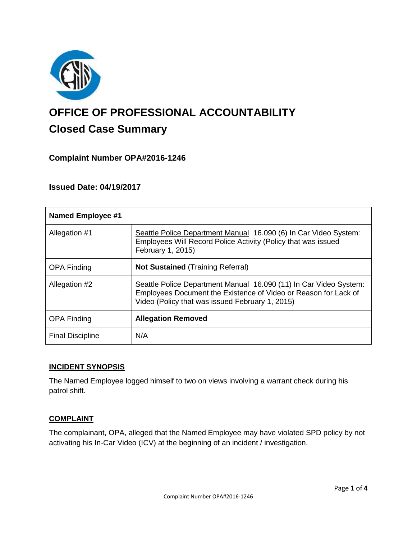

# **OFFICE OF PROFESSIONAL ACCOUNTABILITY Closed Case Summary**

## **Complaint Number OPA#2016-1246**

## **Issued Date: 04/19/2017**

| <b>Named Employee #1</b> |                                                                                                                                                                                         |
|--------------------------|-----------------------------------------------------------------------------------------------------------------------------------------------------------------------------------------|
| Allegation #1            | Seattle Police Department Manual 16.090 (6) In Car Video System:<br>Employees Will Record Police Activity (Policy that was issued<br>February 1, 2015)                                  |
| <b>OPA Finding</b>       | <b>Not Sustained (Training Referral)</b>                                                                                                                                                |
| Allegation #2            | Seattle Police Department Manual 16.090 (11) In Car Video System:<br>Employees Document the Existence of Video or Reason for Lack of<br>Video (Policy that was issued February 1, 2015) |
| <b>OPA Finding</b>       | <b>Allegation Removed</b>                                                                                                                                                               |
| <b>Final Discipline</b>  | N/A                                                                                                                                                                                     |

#### **INCIDENT SYNOPSIS**

The Named Employee logged himself to two on views involving a warrant check during his patrol shift.

#### **COMPLAINT**

The complainant, OPA, alleged that the Named Employee may have violated SPD policy by not activating his In-Car Video (ICV) at the beginning of an incident / investigation.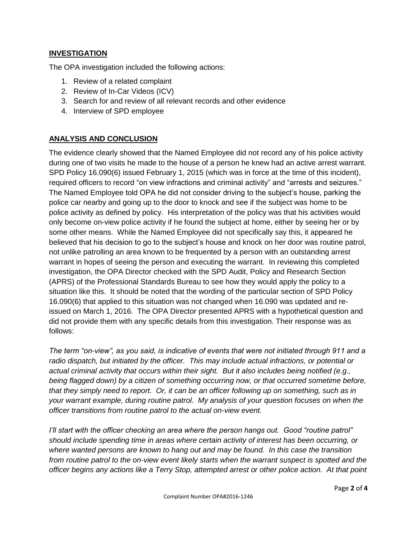## **INVESTIGATION**

The OPA investigation included the following actions:

- 1. Review of a related complaint
- 2. Review of In-Car Videos (ICV)
- 3. Search for and review of all relevant records and other evidence
- 4. Interview of SPD employee

## **ANALYSIS AND CONCLUSION**

The evidence clearly showed that the Named Employee did not record any of his police activity during one of two visits he made to the house of a person he knew had an active arrest warrant. SPD Policy 16.090(6) issued February 1, 2015 (which was in force at the time of this incident), required officers to record "on view infractions and criminal activity" and "arrests and seizures." The Named Employee told OPA he did not consider driving to the subject's house, parking the police car nearby and going up to the door to knock and see if the subject was home to be police activity as defined by policy. His interpretation of the policy was that his activities would only become on-view police activity if he found the subject at home, either by seeing her or by some other means. While the Named Employee did not specifically say this, it appeared he believed that his decision to go to the subject's house and knock on her door was routine patrol, not unlike patrolling an area known to be frequented by a person with an outstanding arrest warrant in hopes of seeing the person and executing the warrant. In reviewing this completed investigation, the OPA Director checked with the SPD Audit, Policy and Research Section (APRS) of the Professional Standards Bureau to see how they would apply the policy to a situation like this. It should be noted that the wording of the particular section of SPD Policy 16.090(6) that applied to this situation was not changed when 16.090 was updated and reissued on March 1, 2016. The OPA Director presented APRS with a hypothetical question and did not provide them with any specific details from this investigation. Their response was as follows:

*The term "on-view", as you said, is indicative of events that were not initiated through 911 and a radio dispatch, but initiated by the officer. This may include actual infractions, or potential or actual criminal activity that occurs within their sight. But it also includes being notified (e.g., being flagged down) by a citizen of something occurring now, or that occurred sometime before, that they simply need to report. Or, it can be an officer following up on something, such as in your warrant example, during routine patrol. My analysis of your question focuses on when the officer transitions from routine patrol to the actual on-view event.*

*I'll start with the officer checking an area where the person hangs out. Good "routine patrol" should include spending time in areas where certain activity of interest has been occurring, or where wanted persons are known to hang out and may be found. In this case the transition from routine patrol to the on-view event likely starts when the warrant suspect is spotted and the officer begins any actions like a Terry Stop, attempted arrest or other police action. At that point*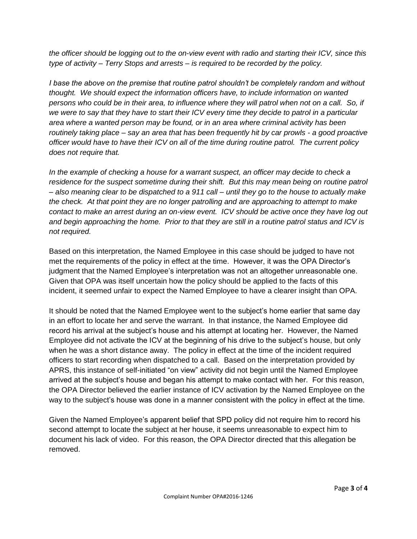*the officer should be logging out to the on-view event with radio and starting their ICV, since this type of activity – Terry Stops and arrests – is required to be recorded by the policy.* 

*I base the above on the premise that routine patrol shouldn't be completely random and without thought. We should expect the information officers have, to include information on wanted persons who could be in their area, to influence where they will patrol when not on a call. So, if we were to say that they have to start their ICV every time they decide to patrol in a particular area where a wanted person may be found, or in an area where criminal activity has been routinely taking place – say an area that has been frequently hit by car prowls - a good proactive officer would have to have their ICV on all of the time during routine patrol. The current policy does not require that.*

*In the example of checking a house for a warrant suspect, an officer may decide to check a residence for the suspect sometime during their shift. But this may mean being on routine patrol – also meaning clear to be dispatched to a 911 call – until they go to the house to actually make the check. At that point they are no longer patrolling and are approaching to attempt to make contact to make an arrest during an on-view event. ICV should be active once they have log out and begin approaching the home. Prior to that they are still in a routine patrol status and ICV is not required.*

Based on this interpretation, the Named Employee in this case should be judged to have not met the requirements of the policy in effect at the time. However, it was the OPA Director's judgment that the Named Employee's interpretation was not an altogether unreasonable one. Given that OPA was itself uncertain how the policy should be applied to the facts of this incident, it seemed unfair to expect the Named Employee to have a clearer insight than OPA.

It should be noted that the Named Employee went to the subject's home earlier that same day in an effort to locate her and serve the warrant. In that instance, the Named Employee did record his arrival at the subject's house and his attempt at locating her. However, the Named Employee did not activate the ICV at the beginning of his drive to the subject's house, but only when he was a short distance away. The policy in effect at the time of the incident required officers to start recording when dispatched to a call. Based on the interpretation provided by APRS, this instance of self-initiated "on view" activity did not begin until the Named Employee arrived at the subject's house and began his attempt to make contact with her. For this reason, the OPA Director believed the earlier instance of ICV activation by the Named Employee on the way to the subject's house was done in a manner consistent with the policy in effect at the time.

Given the Named Employee's apparent belief that SPD policy did not require him to record his second attempt to locate the subject at her house, it seems unreasonable to expect him to document his lack of video. For this reason, the OPA Director directed that this allegation be removed.